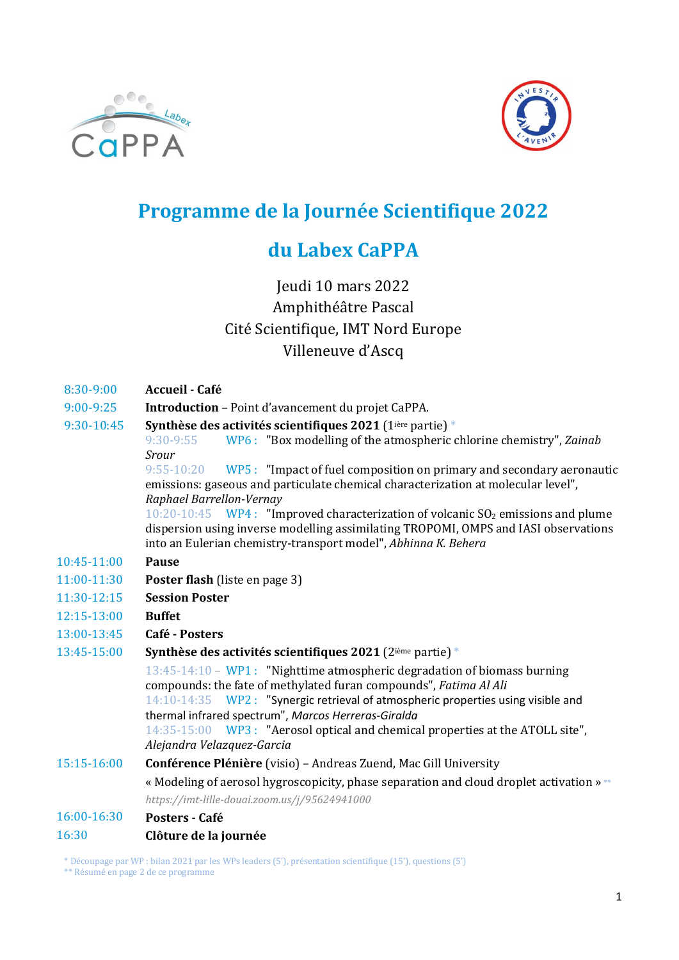



# Programme de la Journée Scientifique 2022

### du Labex CaPPA

### Jeudi 10 mars 2022 Amphithéâtre Pascal Cité Scientifique, IMT Nord Europe Villeneuve d'Ascq

- 8:30-9:00 Accueil Café
- 9:00-9:25 Introduction Point d'avancement du projet CaPPA.
- 9:30-10:45 Synthèse des activités scientifiques 2021 (1ière partie) \*

9:30-9:55 WP6 : "Box modelling of the atmospheric chlorine chemistry", Zainab Srour

9:55-10:20 WP5 : "Impact of fuel composition on primary and secondary aeronautic emissions: gaseous and particulate chemical characterization at molecular level", Raphael Barrellon-Vernay

 $10:20-10:45$  WP4 : "Improved characterization of volcanic SO<sub>2</sub> emissions and plume dispersion using inverse modelling assimilating TROPOMI, OMPS and IASI observations into an Eulerian chemistry-transport model", Abhinna K. Behera

- 10:45-11:00 Pause
- 11:00-11:30 Poster flash (liste en page 3)
- 11:30-12:15 Session Poster
- 12:15-13:00 Buffet
- 13:00-13:45 Café - Posters
- 13:45-15:00 Synthèse des activités scientifiques 2021 (2ième partie) \*

13:45-14:10 – WP1 : "Nighttime atmospheric degradation of biomass burning compounds: the fate of methylated furan compounds", Fatima Al Ali 14:10-14:35 WP2 : "Synergic retrieval of atmospheric properties using visible and thermal infrared spectrum", Marcos Herreras-Giralda

14:35-15:00 WP3 : "Aerosol optical and chemical properties at the ATOLL site", Alejandra Velazquez-Garcia

15:15-16:00 Conférence Plénière (visio) – Andreas Zuend, Mac Gill University

> « Modeling of aerosol hygroscopicity, phase separation and cloud droplet activation » \*\* *https://imt-lille-douai.zoom.us/j/95624941000*

#### 16:00-16:30 Posters - Café

#### 16:30 Clôture de la journée

<sup>\*</sup> Découpage par WP : bilan 2021 par les WPs leaders (5'), présentation scientifique (15'), questions (5')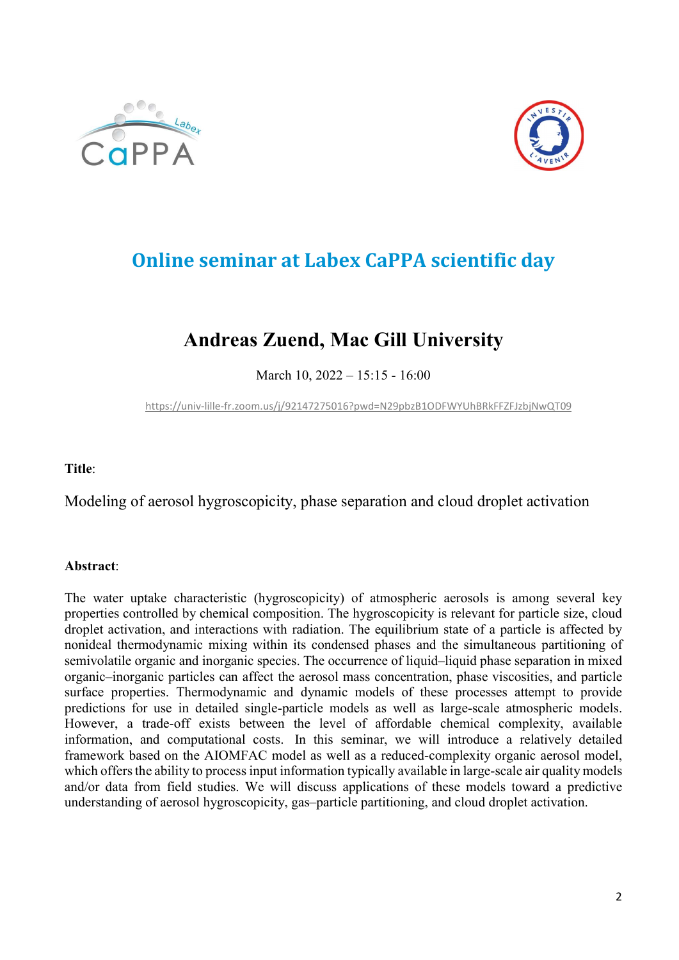



# Online seminar at Labex CaPPA scientific day

### Andreas Zuend, Mac Gill University

March 10, 2022 – 15:15 - 16:00

https://univ-lille-fr.zoom.us/j/92147275016?pwd=N29pbzB1ODFWYUhBRkFFZFJzbjNwQT09

Title:

Modeling of aerosol hygroscopicity, phase separation and cloud droplet activation

### Abstract:

The water uptake characteristic (hygroscopicity) of atmospheric aerosols is among several key properties controlled by chemical composition. The hygroscopicity is relevant for particle size, cloud droplet activation, and interactions with radiation. The equilibrium state of a particle is affected by nonideal thermodynamic mixing within its condensed phases and the simultaneous partitioning of semivolatile organic and inorganic species. The occurrence of liquid–liquid phase separation in mixed organic–inorganic particles can affect the aerosol mass concentration, phase viscosities, and particle surface properties. Thermodynamic and dynamic models of these processes attempt to provide predictions for use in detailed single-particle models as well as large-scale atmospheric models. However, a trade-off exists between the level of affordable chemical complexity, available information, and computational costs. In this seminar, we will introduce a relatively detailed framework based on the AIOMFAC model as well as a reduced-complexity organic aerosol model, which offers the ability to process input information typically available in large-scale air quality models and/or data from field studies. We will discuss applications of these models toward a predictive understanding of aerosol hygroscopicity, gas–particle partitioning, and cloud droplet activation.